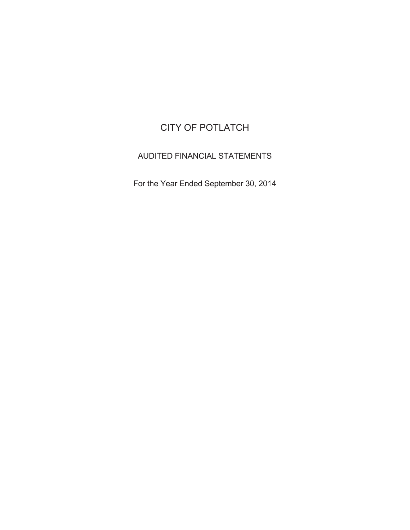## AUDITED FINANCIAL STATEMENTS

For the Year Ended September 30, 2014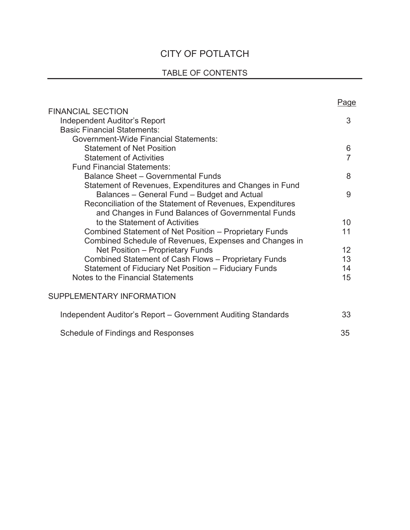## TABLE OF CONTENTS

| <b>FINANCIAL SECTION</b>                                                                                                                                                                                                                                                                                                                                                                                                                                        | <b>Page</b>                      |
|-----------------------------------------------------------------------------------------------------------------------------------------------------------------------------------------------------------------------------------------------------------------------------------------------------------------------------------------------------------------------------------------------------------------------------------------------------------------|----------------------------------|
| Independent Auditor's Report<br><b>Basic Financial Statements:</b>                                                                                                                                                                                                                                                                                                                                                                                              | 3                                |
| <b>Government-Wide Financial Statements:</b><br><b>Statement of Net Position</b><br><b>Statement of Activities</b><br><b>Fund Financial Statements:</b>                                                                                                                                                                                                                                                                                                         | 6<br>$\overline{7}$              |
| <b>Balance Sheet - Governmental Funds</b>                                                                                                                                                                                                                                                                                                                                                                                                                       | 8                                |
| Statement of Revenues, Expenditures and Changes in Fund<br>Balances - General Fund - Budget and Actual                                                                                                                                                                                                                                                                                                                                                          | 9                                |
| Reconciliation of the Statement of Revenues, Expenditures<br>and Changes in Fund Balances of Governmental Funds<br>to the Statement of Activities<br>Combined Statement of Net Position - Proprietary Funds<br>Combined Schedule of Revenues, Expenses and Changes in<br>Net Position – Proprietary Funds<br>Combined Statement of Cash Flows - Proprietary Funds<br>Statement of Fiduciary Net Position - Fiduciary Funds<br>Notes to the Financial Statements | 10<br>11<br>12<br>13<br>14<br>15 |
| SUPPLEMENTARY INFORMATION                                                                                                                                                                                                                                                                                                                                                                                                                                       |                                  |
| Independent Auditor's Report - Government Auditing Standards                                                                                                                                                                                                                                                                                                                                                                                                    | 33                               |
| Schedule of Findings and Responses                                                                                                                                                                                                                                                                                                                                                                                                                              | 35                               |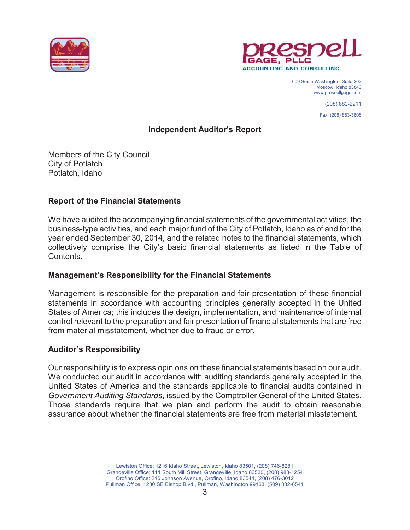



609 South Washington, Suite 202 Moscow, Idaho 83843 www.presnellgage.com

(208) 882-2211

Fax: (208) 883-3808

## **Independent Auditor's Report**

Members of the City Council City of Potlatch Potlatch, Idaho

## **Report of the Financial Statements**

We have audited the accompanying financial statements of the governmental activities, the business-type activities, and each major fund of the City of Potlatch, Idaho as of and for the year ended September 30, 2014, and the related notes to the financial statements, which collectively comprise the City's basic financial statements as listed in the Table of **Contents** 

## **Management's Responsibility for the Financial Statements**

Management is responsible for the preparation and fair presentation of these financial statements in accordance with accounting principles generally accepted in the United States of America; this includes the design, implementation, and maintenance of internal control relevant to the preparation and fair presentation of financial statements that are free from material misstatement, whether due to fraud or error.

#### **Auditor's Responsibility**

Our responsibility is to express opinions on these financial statements based on our audit. We conducted our audit in accordance with auditing standards generally accepted in the United States of America and the standards applicable to financial audits contained in *Government Auditing Standards*, issued by the Comptroller General of the United States. Those standards require that we plan and perform the audit to obtain reasonable assurance about whether the financial statements are free from material misstatement.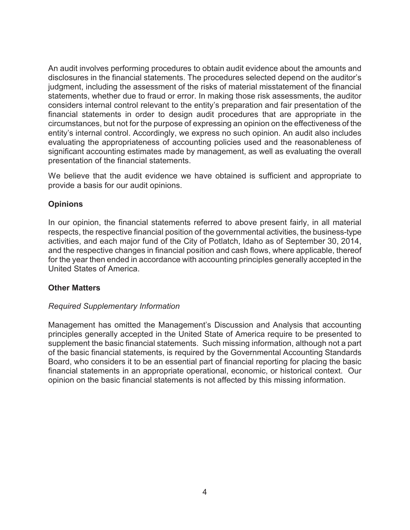An audit involves performing procedures to obtain audit evidence about the amounts and disclosures in the financial statements. The procedures selected depend on the auditor's judgment, including the assessment of the risks of material misstatement of the financial statements, whether due to fraud or error. In making those risk assessments, the auditor considers internal control relevant to the entity's preparation and fair presentation of the financial statements in order to design audit procedures that are appropriate in the circumstances, but not for the purpose of expressing an opinion on the effectiveness of the entity's internal control. Accordingly, we express no such opinion. An audit also includes evaluating the appropriateness of accounting policies used and the reasonableness of significant accounting estimates made by management, as well as evaluating the overall presentation of the financial statements.

We believe that the audit evidence we have obtained is sufficient and appropriate to provide a basis for our audit opinions.

## **Opinions**

In our opinion, the financial statements referred to above present fairly, in all material respects, the respective financial position of the governmental activities, the business-type activities, and each major fund of the City of Potlatch, Idaho as of September 30, 2014, and the respective changes in financial position and cash flows, where applicable, thereof for the year then ended in accordance with accounting principles generally accepted in the United States of America.

## **Other Matters**

## *Required Supplementary Information*

Management has omitted the Management's Discussion and Analysis that accounting principles generally accepted in the United State of America require to be presented to supplement the basic financial statements. Such missing information, although not a part of the basic financial statements, is required by the Governmental Accounting Standards Board, who considers it to be an essential part of financial reporting for placing the basic financial statements in an appropriate operational, economic, or historical context. Our opinion on the basic financial statements is not affected by this missing information.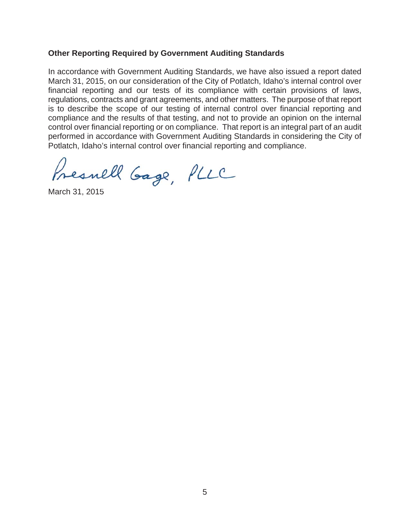## **Other Reporting Required by Government Auditing Standards**

In accordance with Government Auditing Standards, we have also issued a report dated March 31, 2015, on our consideration of the City of Potlatch, Idaho's internal control over financial reporting and our tests of its compliance with certain provisions of laws, regulations, contracts and grant agreements, and other matters. The purpose of that report is to describe the scope of our testing of internal control over financial reporting and compliance and the results of that testing, and not to provide an opinion on the internal control over financial reporting or on compliance. That report is an integral part of an audit performed in accordance with Government Auditing Standards in considering the City of Potlatch, Idaho's internal control over financial reporting and compliance.

Presnell Gage, PLLC

March 31, 2015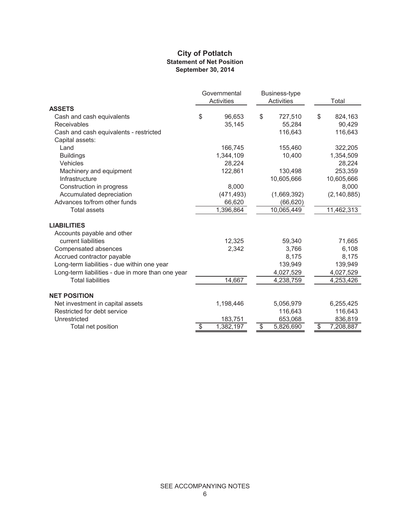#### **City of Potlatch Statement of Net Position September 30, 2014**

|                                                   | Governmental<br><b>Activities</b> | Business-type<br>Activities | Total           |
|---------------------------------------------------|-----------------------------------|-----------------------------|-----------------|
| <b>ASSETS</b>                                     |                                   |                             |                 |
| Cash and cash equivalents                         | \$<br>96,653                      | \$<br>727,510               | \$<br>824,163   |
| Receivables                                       | 35,145                            | 55,284                      | 90,429          |
| Cash and cash equivalents - restricted            |                                   | 116,643                     | 116,643         |
| Capital assets:                                   |                                   |                             |                 |
| Land                                              | 166,745                           | 155,460                     | 322,205         |
| <b>Buildings</b>                                  | 1,344,109                         | 10,400                      | 1,354,509       |
| Vehicles                                          | 28,224                            |                             | 28,224          |
| Machinery and equipment                           | 122,861                           | 130,498                     | 253,359         |
| Infrastructure                                    |                                   | 10,605,666                  | 10,605,666      |
| Construction in progress                          | 8,000                             |                             | 8,000           |
| Accumulated depreciation                          | (471, 493)                        | (1,669,392)                 | (2, 140, 885)   |
| Advances to/from other funds                      | 66,620                            | (66, 620)                   |                 |
| <b>Total assets</b>                               | 1,396,864                         | 10,065,449                  | 11,462,313      |
| <b>LIABILITIES</b>                                |                                   |                             |                 |
| Accounts payable and other                        |                                   |                             |                 |
| current liabilities                               | 12,325                            | 59,340                      | 71,665          |
| Compensated absences                              | 2,342                             | 3,766                       | 6,108           |
| Accrued contractor payable                        |                                   | 8,175                       | 8,175           |
| Long-term liabilities - due within one year       |                                   | 139,949                     | 139,949         |
| Long-term liabilities - due in more than one year |                                   | 4,027,529                   | 4,027,529       |
| <b>Total liabilities</b>                          | 14,667                            | 4,238,759                   | 4,253,426       |
| <b>NET POSITION</b>                               |                                   |                             |                 |
| Net investment in capital assets                  | 1,198,446                         | 5,056,979                   | 6,255,425       |
| Restricted for debt service                       |                                   | 116,643                     | 116,643         |
| Unrestricted                                      | 183,751                           | 653,068                     | 836,819         |
| Total net position                                | \$<br>1,382,197                   | \$<br>5,826,690             | \$<br>7,208,887 |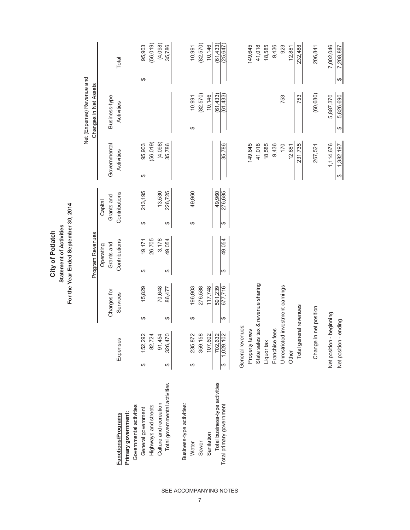|                                                |                                      |             |             |          | For the Year Ended September 30, 2014<br><b>Statement of Activities</b><br>City of Potlatch |          |                       |          |              |                                                    |     |   |           |
|------------------------------------------------|--------------------------------------|-------------|-------------|----------|---------------------------------------------------------------------------------------------|----------|-----------------------|----------|--------------|----------------------------------------------------|-----|---|-----------|
|                                                |                                      |             |             |          | Program Revenues                                                                            |          |                       |          |              | Net (Expense) Revenue and<br>Changes in Net Assets |     |   |           |
|                                                |                                      |             | Charges for |          | Grants and<br>Operating                                                                     |          | Grants and<br>Capital |          | Governmental | Business-type                                      |     |   |           |
| <b>Functions/Programs</b>                      | Expenses                             |             | Services    |          | Contributions                                                                               |          | Contributions         |          | Activities   | Activities                                         |     |   | Total     |
| Governmental activities<br>Primary government: |                                      |             |             |          |                                                                                             |          |                       |          |              |                                                    |     |   |           |
| General government                             | 152,292<br>↮                         | ↮           | 15,829      | ↔        | 19,171                                                                                      | ↮        | 213,195               | ↮        | 95,903       |                                                    |     | ↮ | 95,903    |
| Highways and streets                           | 82,724                               |             |             |          | 26,705                                                                                      |          |                       |          | (56,019)     |                                                    |     |   | (56, 019) |
| Culture and recreation                         |                                      |             | 70,648      |          | 3,178                                                                                       |          | 13,530                |          | (4,098)      |                                                    |     |   | (4,098)   |
| Total governmental activities                  | 91,454<br>$\Theta$                   | $\Theta$    | 86,477      | $\Theta$ | 49,054                                                                                      | $\Theta$ | 226,725               |          | 35,786       |                                                    |     |   | 35,786    |
| Business-type activities:                      |                                      |             |             |          |                                                                                             |          |                       |          |              |                                                    |     |   |           |
| Water                                          | $\tilde{\mathcal{L}}$<br>235,87<br>↮ | ↔           | 196,903     |          |                                                                                             | ↮        | 49,960                |          |              | 10,991<br>↮                                        |     |   | 10,991    |
| Sewer                                          | 359,158                              |             | 276,588     |          |                                                                                             |          |                       |          |              | (82, 570)                                          |     |   | (82, 570) |
| Sanitation                                     | 107,602                              |             | 117,748     |          |                                                                                             |          |                       |          |              | 10,146                                             |     |   | 10,146    |
| Total business-type activities                 |                                      |             | 591,239     |          |                                                                                             |          | 49,960                |          |              | (61, 433)                                          |     |   | (61, 433) |
| Total primary government                       | $\frac{702,632}{1,029,102}$<br>↔     | ↮           | 677,716     | ↮        | 49,054                                                                                      | ↮        | 276,685               |          | 35,786       | (61, 433)                                          |     |   | (25, 647) |
|                                                | General revenues:                    |             |             |          |                                                                                             |          |                       |          |              |                                                    |     |   |           |
|                                                | Property taxes                       |             |             |          |                                                                                             |          |                       |          | 149,645      |                                                    |     |   | 149,645   |
|                                                | State sales tax & revenue sharing    |             |             |          |                                                                                             |          |                       |          | 41,018       |                                                    |     |   | 41,018    |
|                                                | Liquor tax                           |             |             |          |                                                                                             |          |                       |          | 18,585       |                                                    |     |   | 18,585    |
|                                                | Franchise fees                       |             |             |          |                                                                                             |          |                       |          | 9,436        |                                                    |     |   | 9,436     |
|                                                | Unrestricted investment earnings     |             |             |          |                                                                                             |          |                       |          | 170          |                                                    | 753 |   | 923       |
|                                                | Other                                |             |             |          |                                                                                             |          |                       |          | 12,881       |                                                    |     |   | 12,881    |
|                                                | Total general revenues               |             |             |          |                                                                                             |          |                       |          | 231,735      |                                                    | 753 |   | 232,488   |
|                                                | Change in net position               |             |             |          |                                                                                             |          |                       |          | 267,521      | (60, 680)                                          |     |   | 206,841   |
|                                                | Net position                         | - beginning |             |          |                                                                                             |          |                       |          | 1,114,676    | 5,887,370                                          |     |   | 7,002,046 |
|                                                | - ending<br>Net position             |             |             |          |                                                                                             |          |                       | $\Theta$ | 1,382,197    | 5,826,690<br>↮                                     |     | ↔ | 7,208,887 |

SEE ACCOMPANYING NOTES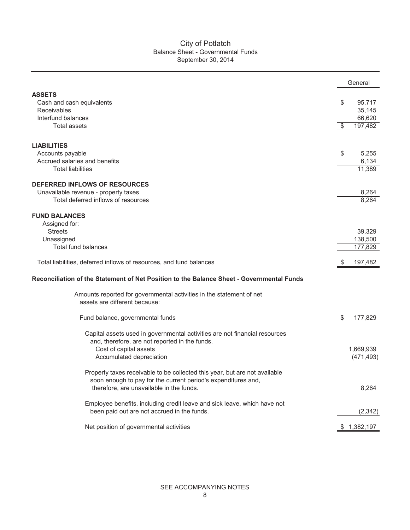#### City of Potlatch Balance Sheet - Governmental Funds September 30, 2014

|                                                                                                                                                                                         |          | General                               |
|-----------------------------------------------------------------------------------------------------------------------------------------------------------------------------------------|----------|---------------------------------------|
| <b>ASSETS</b><br>Cash and cash equivalents<br>Receivables<br>Interfund balances<br><b>Total assets</b>                                                                                  | \$<br>\$ | 95,717<br>35,145<br>66,620<br>197,482 |
| <b>LIABILITIES</b><br>Accounts payable<br>Accrued salaries and benefits<br><b>Total liabilities</b>                                                                                     | \$       | 5,255<br>6,134<br>11,389              |
| DEFERRED INFLOWS OF RESOURCES<br>Unavailable revenue - property taxes<br>Total deferred inflows of resources                                                                            |          | 8,264<br>8,264                        |
| <b>FUND BALANCES</b><br>Assigned for:<br><b>Streets</b><br>Unassigned<br><b>Total fund balances</b>                                                                                     |          | 39,329<br>138,500<br>177,829          |
| Total liabilities, deferred inflows of resources, and fund balances                                                                                                                     |          | 197,482                               |
| Reconciliation of the Statement of Net Position to the Balance Sheet - Governmental Funds                                                                                               |          |                                       |
| Amounts reported for governmental activities in the statement of net<br>assets are different because:                                                                                   |          |                                       |
| Fund balance, governmental funds                                                                                                                                                        | \$       | 177,829                               |
| Capital assets used in governmental activities are not financial resources<br>and, therefore, are not reported in the funds.<br>Cost of capital assets<br>Accumulated depreciation      |          | 1,669,939<br>(471, 493)               |
| Property taxes receivable to be collected this year, but are not available<br>soon enough to pay for the current period's expenditures and,<br>therefore, are unavailable in the funds. |          | 8,264                                 |
| Employee benefits, including credit leave and sick leave, which have not<br>been paid out are not accrued in the funds.                                                                 |          | (2, 342)                              |
| Net position of governmental activities                                                                                                                                                 |          | \$1,382,197                           |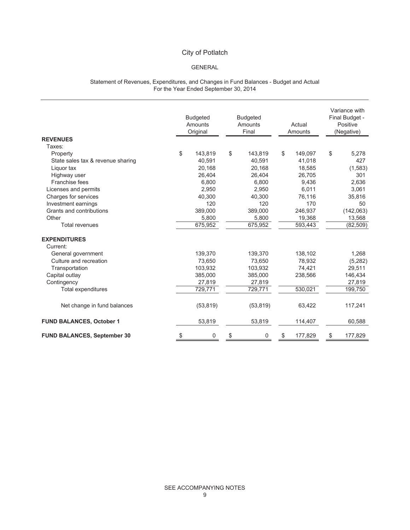## City of Potlatch

#### GENERAL

#### For the Year Ended September 30, 2014 Statement of Revenues, Expenditures, and Changes in Fund Balances - Budget and Actual

|                                    | <b>Budgeted</b><br>Amounts<br>Original | <b>Budgeted</b><br>Amounts<br>Final | Actual<br>Amounts | Variance with<br>Final Budget -<br>Positive<br>(Negative) |
|------------------------------------|----------------------------------------|-------------------------------------|-------------------|-----------------------------------------------------------|
| <b>REVENUES</b>                    |                                        |                                     |                   |                                                           |
| Taxes:                             |                                        |                                     |                   |                                                           |
| Property                           | \$<br>143,819                          | \$<br>143,819                       | \$<br>149,097     | \$<br>5,278                                               |
| State sales tax & revenue sharing  | 40,591                                 | 40,591                              | 41,018            | 427                                                       |
| Liquor tax                         | 20,168                                 | 20,168                              | 18,585            | (1, 583)                                                  |
| Highway user                       | 26,404                                 | 26,404                              | 26,705            | 301                                                       |
| Franchise fees                     | 6,800                                  | 6,800                               | 9,436             | 2,636                                                     |
| Licenses and permits               | 2,950                                  | 2,950                               | 6,011             | 3,061                                                     |
| Charges for services               | 40.300                                 | 40,300                              | 76,116            | 35,816                                                    |
| Investment earnings                | 120                                    | 120                                 | 170               | 50                                                        |
| Grants and contributions           | 389,000                                | 389,000                             | 246,937           | (142,063)                                                 |
| Other                              | 5,800                                  | 5,800                               | 19,368            | 13,568                                                    |
| <b>Total revenues</b>              | 675,952                                | 675,952                             | 593,443           | (82, 509)                                                 |
| <b>EXPENDITURES</b>                |                                        |                                     |                   |                                                           |
| Current:                           |                                        |                                     |                   |                                                           |
| General government                 | 139,370                                | 139,370                             | 138,102           | 1,268                                                     |
| Culture and recreation             | 73,650                                 | 73,650                              | 78,932            | (5,282)                                                   |
| Transportation                     | 103,932                                | 103,932                             | 74,421            | 29,511                                                    |
| Capital outlay                     | 385,000                                | 385,000                             | 238,566           | 146,434                                                   |
| Contingency                        | 27,819                                 | 27,819                              |                   | 27,819                                                    |
| Total expenditures                 | 729,771                                | 729,771                             | 530,021           | 199,750                                                   |
| Net change in fund balances        | (53, 819)                              | (53, 819)                           | 63,422            | 117,241                                                   |
| <b>FUND BALANCES, October 1</b>    | 53,819                                 | 53,819                              | 114,407           | 60,588                                                    |
| <b>FUND BALANCES, September 30</b> | \$<br>0                                | \$<br>0                             | \$<br>177,829     | \$<br>177,829                                             |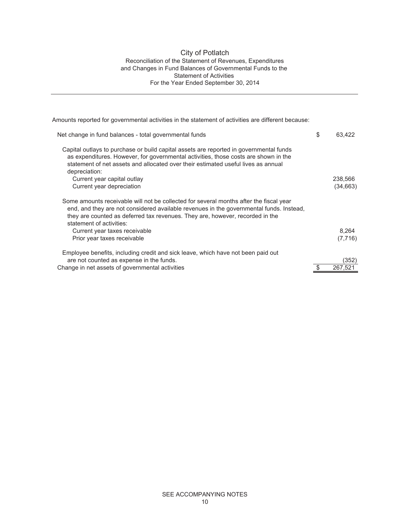#### For the Year Ended September 30, 2014 City of Potlatch Reconciliation of the Statement of Revenues, Expenditures and Changes in Fund Balances of Governmental Funds to the Statement of Activities

Amounts reported for governmental activities in the statement of activities are different because:

| Net change in fund balances - total governmental funds                                                                                                                                                                                                                                         | \$<br>63.422 |
|------------------------------------------------------------------------------------------------------------------------------------------------------------------------------------------------------------------------------------------------------------------------------------------------|--------------|
| Capital outlays to purchase or build capital assets are reported in governmental funds<br>as expenditures. However, for governmental activities, those costs are shown in the<br>statement of net assets and allocated over their estimated useful lives as annual<br>depreciation:            |              |
| Current year capital outlay                                                                                                                                                                                                                                                                    | 238,566      |
| Current year depreciation                                                                                                                                                                                                                                                                      | (34, 663)    |
| Some amounts receivable will not be collected for several months after the fiscal year<br>end, and they are not considered available revenues in the governmental funds. Instead,<br>they are counted as deferred tax revenues. They are, however, recorded in the<br>statement of activities: |              |
| Current year taxes receivable                                                                                                                                                                                                                                                                  | 8,264        |
| Prior year taxes receivable                                                                                                                                                                                                                                                                    | (7, 716)     |
| Employee benefits, including credit and sick leave, which have not been paid out                                                                                                                                                                                                               |              |
| are not counted as expense in the funds.                                                                                                                                                                                                                                                       | (352)        |
| Change in net assets of governmental activities                                                                                                                                                                                                                                                | 267.521      |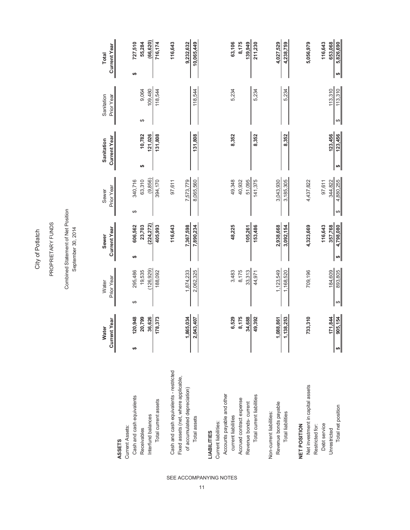City of Potlatch City of Potlatch

## PROPRIETARY FUNDS PROPRIETARY FUNDS

## Combined Statement of Net Position<br>September 30, 2014 Combined Statement of Net Position September 30, 2014

|                                        | <b>Current Year</b><br>Water | Prior Year<br>Water  | <b>Current Year</b><br>Sewer | Prior Year<br>Sewer            | <b>Current Year</b><br>Sanitation   | Sanitation<br>Prior Year | <b>Current Year</b><br><b>Total</b> |
|----------------------------------------|------------------------------|----------------------|------------------------------|--------------------------------|-------------------------------------|--------------------------|-------------------------------------|
| ASSETS                                 |                              |                      |                              |                                |                                     |                          |                                     |
| Current Assets:                        |                              |                      |                              |                                |                                     |                          |                                     |
| Cash and cash equivalents              | 120,948<br>£۹                | 295,486<br>↮         | 606,562<br>↮                 | 340,716<br>↔                   |                                     |                          | 727,510<br>↮                        |
| Receivables                            | 20,799                       | 19,535               | 23,703                       | 63,310                         | 10,782<br>မာ                        | 9,064<br>↔               | 55,284                              |
| Interfund balances                     | 36,626                       | (126, 929)           | 224,272)                     | (9, 856)                       | 121,026                             | 109,480                  | (66, 620)                           |
| Total current assets                   | 178,373                      | 188,092              | 405,993                      | 394,170                        | 131,808                             | 118,544                  | 716,174                             |
| Cash and cash equivalents - restricted |                              |                      | 116,643                      | 97,611                         |                                     |                          | 116,643                             |
| Fixed assets (net, where applicable,   |                              |                      |                              |                                |                                     |                          |                                     |
| of accumulated depreciation)           | ,865,034                     | 1,874,233            | 7,367,598                    | 7,573,779                      |                                     |                          | 9,232,632                           |
| Total assets                           | 2,043,407                    | 2,062,325            | 7,890,234                    | 8,065,560                      | 131,808                             | 118,544                  | 10,065,449                          |
| <b>LIABILITIES</b>                     |                              |                      |                              |                                |                                     |                          |                                     |
| Current liabilities:                   |                              |                      |                              |                                |                                     |                          |                                     |
| Accounts payable and other             |                              |                      |                              |                                |                                     |                          |                                     |
| current liabilities                    | 6,529                        | 3,483                | 48,225                       | 49,348                         | 8,352                               | 5,234                    | 63,106                              |
| Accrued contract expense               | 8,175                        | 8,175                |                              | 40,932                         |                                     |                          | 8,175                               |
| Revenue bonds-current                  | 34,688                       | 33,313               | 105,261                      | 51,095                         |                                     |                          | 139,949                             |
| Total current liabilities              | 49,392                       | 44,971               | 153,486                      | 141,375                        | 8,352                               | 5,234                    | 211,230                             |
| Non-current liabilities:               |                              |                      |                              |                                |                                     |                          |                                     |
| Revenue bonds payable                  | ,088,861                     | 1, 123, 549          | 2,938,668                    | 3,043,930                      |                                     |                          | 4,027,529                           |
| Total liabilities                      | ,138,253                     | 1,168,520            | 3,092,154                    | 3,185,305                      | 8,352                               | 5,234                    | 4,238,759                           |
| <b>NET POSITION</b>                    |                              |                      |                              |                                |                                     |                          |                                     |
| Net investment in capital assets       | 733,310                      | 709,196              | 4,323,669                    | 4,437,822                      |                                     |                          | 5,056,979                           |
| Restricted for:                        |                              |                      |                              |                                |                                     |                          |                                     |
| Debt service                           |                              |                      | 116,643                      | 97,611                         |                                     |                          | 116,643                             |
| Unrestricted                           | 171,844                      | 184,609              | 357,768                      | 344,822                        | 123,456                             | 113,310                  | 653,068                             |
| Total net position                     | 905,154                      | 893,805<br>$\bullet$ | 4,798,080<br>$\bullet$       | 4,880,255<br>$\leftrightarrow$ | 123,456<br>$\bullet\hspace{-1.4mm}$ | 113,310<br>$\Theta$      | 5,826,690<br>$\bullet$              |

SEE ACCOMPANYING NOTES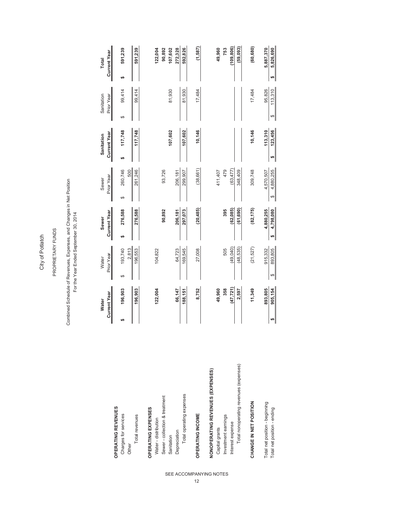City of Potlatch City of Potlatch

## PROPRIETARY FUNDS PROPRIETARY FUNDS

# Combined Schedule of Revenues, Expenses, and Changes in Net Position Combined Schedule of Revenues, Expenses, and Changes in Net Position For the Year Ended September 30, 2014 For the Year Ended September 30, 2014

|                                                    | Water               | Water            | Sewer               | Sewer          | Sanitation          | Sanitation    |   | <b>Total</b>        |
|----------------------------------------------------|---------------------|------------------|---------------------|----------------|---------------------|---------------|---|---------------------|
|                                                    | <b>Current Year</b> | Prior Year       | <b>Current Year</b> | Prior Year     | <b>Current Year</b> | Prior Year    |   | <b>Current Year</b> |
| OPERATING REVENUES<br>Charges for services         | 196,903<br>မာ       | 193,740<br>↮     | 276,588<br>↮        | 260,746<br>↮   | 117,748<br>th,      | 99,414<br>↮   | ↮ | 591,239             |
| Total revenues<br>Other                            | 196,903             | 2,813<br>196,553 | 276,588             | 500<br>261,246 | 117,748             | 99,414        |   | 591,239             |
| OPERATING EXPENSES<br>Water - distribution         | 122,004             | 104,822          |                     |                |                     |               |   | 122,004             |
| Sewer - collection & treatment<br>Sanitation       |                     |                  | 90,892              | 93,726         | 107,602             | 81,930        |   | 107,602<br>90,892   |
| Depreciation                                       | 66,147              | 64,723           | 206,181             | 206,181        |                     |               |   | 272,328             |
| Total operating expenses                           | 188,151             | 169,545          | 297,073             | 299,907        | 107,602             | 81,930        |   | 592,826             |
| OPERATING INCOME                                   | 8,752               | 27,008           | (20, 485)           | (38, 661)      | 10,146              | 17,484        |   | (1,587)             |
| NONOPERATING REVENUES (EXPENSES)<br>Capital grants | 49,960              |                  |                     | 411,407        |                     |               |   | 49,960              |
| Investment earnings                                | 358                 | 505              | 395                 | 479            |                     |               |   | 753                 |
| Interest expense                                   | (47, 721)           | (49, 040)        | (62,085)            | (63, 477)      |                     |               |   | (109, 806)          |
| Total nonoperating revenues (expenses)             | 2,597               | (48, 535)        | (61, 690)           | 348,409        |                     |               |   | (59, 093)           |
| CHANGE IN NET POSITION                             | 11,349              | (21, 527)        | (82, 175)           | 309,748        | 10,146              | 17,484        |   | (60, 680)           |
| Total net position - beginning                     | 893,805             | 915,332          | 4,880,255           | 4,570,507      | 113,310             | 95,826        |   | 5,887,370           |
| Total net position - ending                        | 905,154<br>မာ       | 893,805<br>↔     | 4,798,080<br>↮      | 4,880,255<br>↮ | 123,456<br>မာ       | 113,310<br>မာ | ω | 5,826,690           |

SEE ACCOMPANYING NOTES

12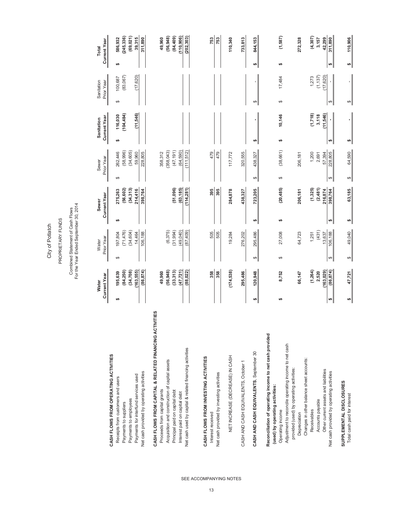City of Potlatch City of Potlatch

## PROPRIETARY FUNDS PROPRIETARY FUNDS

## Combined Statement of Cash Flows<br>For the Year Ended September 30, 2014 For the Year Ended September 30, 2014 Combined Statement of Cash Flows

|                                                          |              | <b>Current Year</b><br><b>Water</b> |          | Prior Year<br>Water |               | <b>Current Year</b><br><b>Sewer</b> |          | Prior Year<br>Sewer |           | <b>Current Year</b><br>Sanitation |    | Sanitation<br>Prior Year |    | <b>Current Year</b><br>Total |
|----------------------------------------------------------|--------------|-------------------------------------|----------|---------------------|---------------|-------------------------------------|----------|---------------------|-----------|-----------------------------------|----|--------------------------|----|------------------------------|
| CASH FLOWS FROM OPERATING ACTIVITIES                     |              |                                     |          |                     |               |                                     |          |                     |           |                                   |    |                          |    |                              |
| Receipts from customers and users                        | ↮            | 195,639                             | ↔        | 197,804             | ↮             | 275,263                             | $\Theta$ | 262,446             | ↮         | 116,030                           | ↮  | 100,687                  | ↮  | 586,932                      |
| Payments to suppliers                                    |              | (84, 250)                           |          | (71, 476)           |               | (56, 602)                           |          | (58,996)            |           | (104, 484)                        |    | (83,067)                 |    | (245, 336)                   |
| Payments to employees                                    |              | (34, 708)                           |          | (34, 604)           |               | (34, 313)                           |          | (34, 605)           |           |                                   |    |                          |    | (69, 021)                    |
| Payments for interfund services used                     |              | (163, 555)                          |          | 14,464              |               | 214,416                             |          | 59,960              |           | (11,546)                          |    | (17, 620)                |    | 39,315                       |
| Net cash provided by operating activities                |              | (86, 874)                           |          | 106,188             |               | 398,764                             |          | 228,805             |           |                                   |    |                          |    | 311,890                      |
| CASH FLOWS FROM CAPITAL & RELATED FINANCING ACTIVITIES   |              |                                     |          |                     |               |                                     |          |                     |           |                                   |    |                          |    |                              |
| Proceeds from capital grants                             |              | 49,960                              |          |                     |               |                                     |          | 358,312             |           |                                   |    |                          |    | 49,960                       |
| Acquisition and construction of capital assets           |              | (56, 948)                           |          | (6,375)             |               |                                     |          | (358, 043)          |           |                                   |    |                          |    | (56, 948)                    |
| Principal paid on capital debt                           |              | (33, 313)                           |          | (31, 994)           |               | (51,096)                            |          | (47, 191)           |           |                                   |    |                          |    | (84, 409)                    |
| Interest paid on capital debt                            |              | (47, 721)                           |          | (49,040)            |               | (63, 185)                           |          | (64, 590)           |           |                                   |    |                          |    | (110, 906)                   |
| Net cash used by capital & related financing activities  |              | (88, 022)                           |          | (87, 409)           |               | (114, 281)                          |          | (111, 512)          |           |                                   |    |                          |    | (202, 303)                   |
| CASH FLOWS FROM INVESTING ACTIVITIES                     |              | 358                                 |          |                     |               | 395                                 |          | 479                 |           |                                   |    |                          |    | 753                          |
| Interest received                                        |              |                                     |          | 505                 |               |                                     |          |                     |           |                                   |    |                          |    |                              |
| Net cash provided by investing activities                |              | 358                                 |          | 505                 |               | 395                                 |          | 479                 |           |                                   |    |                          |    | 753                          |
| NET INCREASE (DECREASE) IN CASH                          |              | (174, 538)                          |          | 19,284              |               | 284,878                             |          | 117,772             |           |                                   |    |                          |    | 110,340                      |
| CASH AND CASH EQUIVALENTS, October 1                     |              | 295,486                             |          | 276,202             |               | 438,327                             |          | 320,555             |           |                                   |    |                          |    | 733,813                      |
| CASH AND CASH EQUIVALENTS, September 30                  |              |                                     |          |                     |               |                                     |          |                     |           |                                   |    |                          |    |                              |
|                                                          | ↮            | 120,948                             | ↮        | 295,486             | ↮             | 723,205                             | ↮        | 438,327             | မာ        | ٠                                 | ↔  | 1                        | ↮  | 844,153                      |
| Reconciliation of operating income to net cash provided  |              |                                     |          |                     |               |                                     |          |                     |           |                                   |    |                          |    |                              |
| (used) by operating activities:                          |              |                                     |          |                     |               |                                     |          |                     |           |                                   |    |                          |    |                              |
| Operating income                                         | ↮            | 8,752                               | ↮        | 27,008              | ↮             | (20, 485)                           | ↔        | (38, 661)           | ↮         | 10,146                            | ↮  | 17,484                   | ↮  | (1,587)                      |
| Adjustment to reconcile operating income to net cash     |              |                                     |          |                     |               |                                     |          |                     |           |                                   |    |                          |    |                              |
| provided (used) by operating activities:                 |              |                                     |          |                     |               |                                     |          |                     |           |                                   |    |                          |    |                              |
| Depreciation                                             |              | 66,147                              |          | 64,723              |               | 206,181                             |          | 206,181             |           |                                   |    |                          |    | 272,328                      |
| Changes in other balance sheet accounts:                 |              |                                     |          |                     |               |                                     |          |                     |           |                                   |    |                          |    |                              |
| Receivables                                              |              | (1, 264)                            |          | 1,251               |               | (1, 325)                            |          | 1,200               |           | (1,718)                           |    | 1,273                    |    | (4, 307)                     |
| Accounts payable                                         |              | 2,520                               |          | (431)               |               | (2,481)                             |          | 2,691               |           | 3,118                             |    | (1, 137)                 |    | 3,157                        |
| Other current assets and liabilities                     |              | (163, 029)                          |          | 13,637              |               | 216,874                             |          | 57,394              |           | (11,546)                          |    | (17, 620)                |    | 42,299                       |
| Net cash provided by operating activities                | $\bullet$    | (86, 874)                           | $\Theta$ | 106,188             | ↮             | 398,764                             | $\Theta$ | 228,805             | ↮         |                                   | \$ |                          | ↮  | 311,890                      |
|                                                          |              |                                     |          |                     |               |                                     |          |                     |           |                                   |    |                          |    |                              |
| SUPPLEMENTAL DISCLOSURES<br>Total cash paid for interest |              | 47,721                              | $\Theta$ | 49,040              |               |                                     | $\Theta$ | 64,590              |           |                                   | ↮  |                          |    |                              |
|                                                          | $\leftarrow$ |                                     |          |                     | $\frac{1}{2}$ | 63,185                              |          |                     | $\bullet$ |                                   |    |                          | ∞∥ | 110,906                      |

SEE ACCOMPANYING NOTES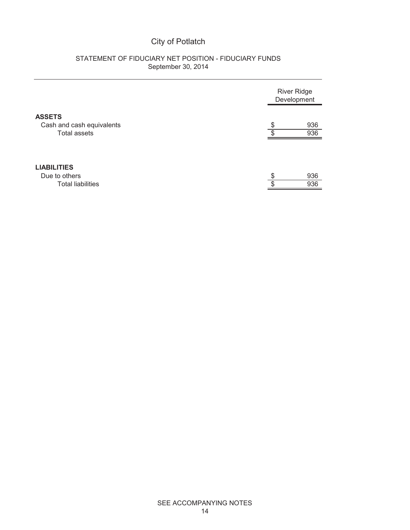## City of Potlatch

## STATEMENT OF FIDUCIARY NET POSITION - FIDUCIARY FUNDS September 30, 2014

|                                     |    | <b>River Ridge</b><br>Development |
|-------------------------------------|----|-----------------------------------|
| <b>ASSETS</b>                       |    |                                   |
| Cash and cash equivalents           | \$ | 936                               |
| <b>Total assets</b>                 | £. | 936                               |
| <b>LIABILITIES</b><br>Due to others |    | 936                               |
| <b>Total liabilities</b>            |    | 936                               |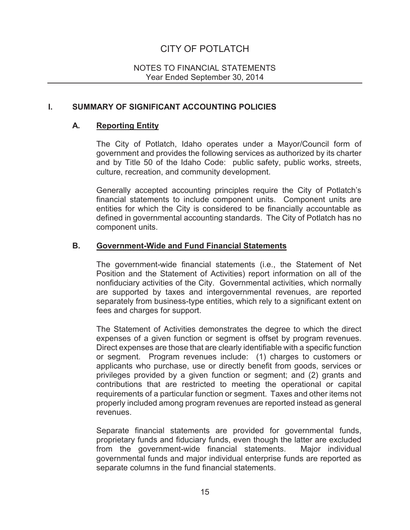## NOTES TO FINANCIAL STATEMENTS Year Ended September 30, 2014

## **I. SUMMARY OF SIGNIFICANT ACCOUNTING POLICIES**

## **A. Reporting Entity**

The City of Potlatch, Idaho operates under a Mayor/Council form of government and provides the following services as authorized by its charter and by Title 50 of the Idaho Code: public safety, public works, streets, culture, recreation, and community development.

Generally accepted accounting principles require the City of Potlatch's financial statements to include component units. Component units are entities for which the City is considered to be financially accountable as defined in governmental accounting standards. The City of Potlatch has no component units.

## **B. Government-Wide and Fund Financial Statements**

The government-wide financial statements (i.e., the Statement of Net Position and the Statement of Activities) report information on all of the nonfiduciary activities of the City. Governmental activities, which normally are supported by taxes and intergovernmental revenues, are reported separately from business-type entities, which rely to a significant extent on fees and charges for support.

The Statement of Activities demonstrates the degree to which the direct expenses of a given function or segment is offset by program revenues. Direct expenses are those that are clearly identifiable with a specific function or segment. Program revenues include: (1) charges to customers or applicants who purchase, use or directly benefit from goods, services or privileges provided by a given function or segment; and (2) grants and contributions that are restricted to meeting the operational or capital requirements of a particular function or segment. Taxes and other items not properly included among program revenues are reported instead as general revenues.

Separate financial statements are provided for governmental funds, proprietary funds and fiduciary funds, even though the latter are excluded from the government-wide financial statements. Major individual governmental funds and major individual enterprise funds are reported as separate columns in the fund financial statements.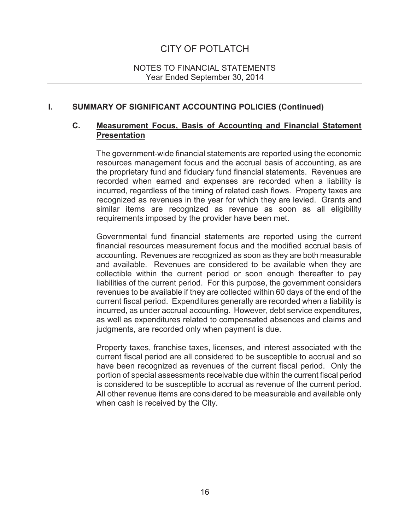## NOTES TO FINANCIAL STATEMENTS Year Ended September 30, 2014

## **I. SUMMARY OF SIGNIFICANT ACCOUNTING POLICIES (Continued)**

## **C. Measurement Focus, Basis of Accounting and Financial Statement Presentation**

The government-wide financial statements are reported using the economic resources management focus and the accrual basis of accounting, as are the proprietary fund and fiduciary fund financial statements. Revenues are recorded when earned and expenses are recorded when a liability is incurred, regardless of the timing of related cash flows. Property taxes are recognized as revenues in the year for which they are levied. Grants and similar items are recognized as revenue as soon as all eligibility requirements imposed by the provider have been met.

Governmental fund financial statements are reported using the current financial resources measurement focus and the modified accrual basis of accounting. Revenues are recognized as soon as they are both measurable and available. Revenues are considered to be available when they are collectible within the current period or soon enough thereafter to pay liabilities of the current period. For this purpose, the government considers revenues to be available if they are collected within 60 days of the end of the current fiscal period. Expenditures generally are recorded when a liability is incurred, as under accrual accounting. However, debt service expenditures, as well as expenditures related to compensated absences and claims and judgments, are recorded only when payment is due.

Property taxes, franchise taxes, licenses, and interest associated with the current fiscal period are all considered to be susceptible to accrual and so have been recognized as revenues of the current fiscal period. Only the portion of special assessments receivable due within the current fiscal period is considered to be susceptible to accrual as revenue of the current period. All other revenue items are considered to be measurable and available only when cash is received by the City.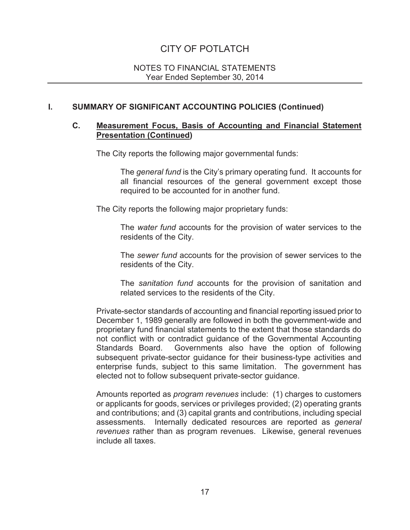## NOTES TO FINANCIAL STATEMENTS Year Ended September 30, 2014

## **I. SUMMARY OF SIGNIFICANT ACCOUNTING POLICIES (Continued)**

## **C. Measurement Focus, Basis of Accounting and Financial Statement Presentation (Continued)**

The City reports the following major governmental funds:

The *general fund* is the City's primary operating fund. It accounts for all financial resources of the general government except those required to be accounted for in another fund.

The City reports the following major proprietary funds:

The *water fund* accounts for the provision of water services to the residents of the City.

The *sewer fund* accounts for the provision of sewer services to the residents of the City.

The *sanitation fund* accounts for the provision of sanitation and related services to the residents of the City.

Private-sector standards of accounting and financial reporting issued prior to December 1, 1989 generally are followed in both the government-wide and proprietary fund financial statements to the extent that those standards do not conflict with or contradict guidance of the Governmental Accounting Standards Board. Governments also have the option of following subsequent private-sector guidance for their business-type activities and enterprise funds, subject to this same limitation. The government has elected not to follow subsequent private-sector guidance.

Amounts reported as *program revenues* include: (1) charges to customers or applicants for goods, services or privileges provided; (2) operating grants and contributions; and (3) capital grants and contributions, including special assessments. Internally dedicated resources are reported as *general revenues* rather than as program revenues. Likewise, general revenues include all taxes.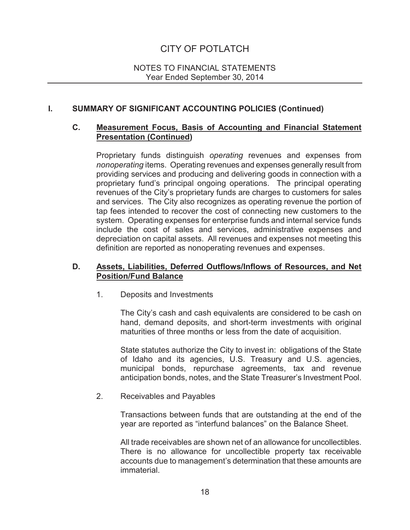## NOTES TO FINANCIAL STATEMENTS Year Ended September 30, 2014

## **I. SUMMARY OF SIGNIFICANT ACCOUNTING POLICIES (Continued)**

## **C. Measurement Focus, Basis of Accounting and Financial Statement Presentation (Continued)**

Proprietary funds distinguish *operating* revenues and expenses from *nonoperating* items. Operating revenues and expenses generally result from providing services and producing and delivering goods in connection with a proprietary fund's principal ongoing operations. The principal operating revenues of the City's proprietary funds are charges to customers for sales and services. The City also recognizes as operating revenue the portion of tap fees intended to recover the cost of connecting new customers to the system. Operating expenses for enterprise funds and internal service funds include the cost of sales and services, administrative expenses and depreciation on capital assets. All revenues and expenses not meeting this definition are reported as nonoperating revenues and expenses.

## **D. Assets, Liabilities, Deferred Outflows/Inflows of Resources, and Net Position/Fund Balance**

1. Deposits and Investments

The City's cash and cash equivalents are considered to be cash on hand, demand deposits, and short-term investments with original maturities of three months or less from the date of acquisition.

State statutes authorize the City to invest in: obligations of the State of Idaho and its agencies, U.S. Treasury and U.S. agencies, municipal bonds, repurchase agreements, tax and revenue anticipation bonds, notes, and the State Treasurer's Investment Pool.

2. Receivables and Payables

Transactions between funds that are outstanding at the end of the year are reported as "interfund balances" on the Balance Sheet.

All trade receivables are shown net of an allowance for uncollectibles. There is no allowance for uncollectible property tax receivable accounts due to management's determination that these amounts are immaterial.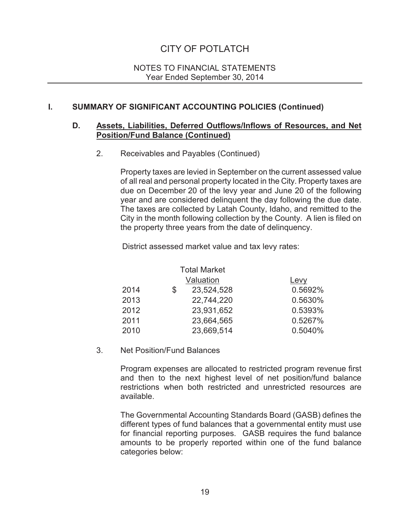## NOTES TO FINANCIAL STATEMENTS Year Ended September 30, 2014

## **I. SUMMARY OF SIGNIFICANT ACCOUNTING POLICIES (Continued)**

## **D. Assets, Liabilities, Deferred Outflows/Inflows of Resources, and Net Position/Fund Balance (Continued)**

2. Receivables and Payables (Continued)

Property taxes are levied in September on the current assessed value of all real and personal property located in the City. Property taxes are due on December 20 of the levy year and June 20 of the following year and are considered delinquent the day following the due date. The taxes are collected by Latah County, Idaho, and remitted to the City in the month following collection by the County. A lien is filed on the property three years from the date of delinquency.

District assessed market value and tax levy rates:

|      |   | <b>Total Market</b> |         |
|------|---|---------------------|---------|
|      |   | Valuation           | Levy    |
| 2014 | S | 23,524,528          | 0.5692% |
| 2013 |   | 22,744,220          | 0.5630% |
| 2012 |   | 23,931,652          | 0.5393% |
| 2011 |   | 23,664,565          | 0.5267% |
| 2010 |   | 23,669,514          | 0.5040% |

3. Net Position/Fund Balances

Program expenses are allocated to restricted program revenue first and then to the next highest level of net position/fund balance restrictions when both restricted and unrestricted resources are available.

The Governmental Accounting Standards Board (GASB) defines the different types of fund balances that a governmental entity must use for financial reporting purposes. GASB requires the fund balance amounts to be properly reported within one of the fund balance categories below: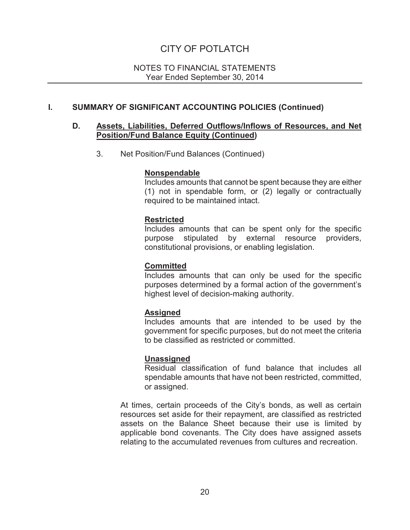## NOTES TO FINANCIAL STATEMENTS Year Ended September 30, 2014

## **I. SUMMARY OF SIGNIFICANT ACCOUNTING POLICIES (Continued)**

## **D. Assets, Liabilities, Deferred Outflows/Inflows of Resources, and Net Position/Fund Balance Equity (Continued)**

3. Net Position/Fund Balances (Continued)

#### **Nonspendable**

Includes amounts that cannot be spent because they are either (1) not in spendable form, or (2) legally or contractually required to be maintained intact.

#### **Restricted**

Includes amounts that can be spent only for the specific purpose stipulated by external resource providers, constitutional provisions, or enabling legislation.

#### **Committed**

Includes amounts that can only be used for the specific purposes determined by a formal action of the government's highest level of decision-making authority.

#### **Assigned**

Includes amounts that are intended to be used by the government for specific purposes, but do not meet the criteria to be classified as restricted or committed.

#### **Unassigned**

Residual classification of fund balance that includes all spendable amounts that have not been restricted, committed, or assigned.

At times, certain proceeds of the City's bonds, as well as certain resources set aside for their repayment, are classified as restricted assets on the Balance Sheet because their use is limited by applicable bond covenants. The City does have assigned assets relating to the accumulated revenues from cultures and recreation.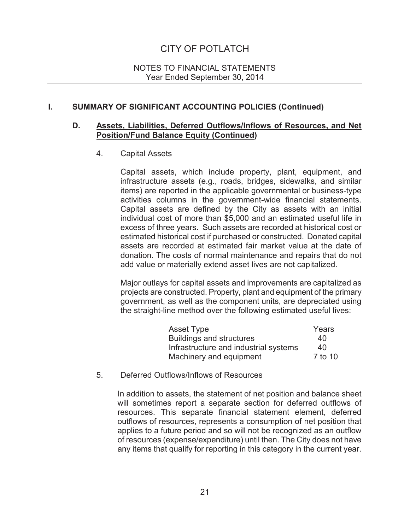## NOTES TO FINANCIAL STATEMENTS Year Ended September 30, 2014

## **I. SUMMARY OF SIGNIFICANT ACCOUNTING POLICIES (Continued)**

## **D. Assets, Liabilities, Deferred Outflows/Inflows of Resources, and Net Position/Fund Balance Equity (Continued)**

## 4. Capital Assets

Capital assets, which include property, plant, equipment, and infrastructure assets (e.g., roads, bridges, sidewalks, and similar items) are reported in the applicable governmental or business-type activities columns in the government-wide financial statements. Capital assets are defined by the City as assets with an initial individual cost of more than \$5,000 and an estimated useful life in excess of three years. Such assets are recorded at historical cost or estimated historical cost if purchased or constructed. Donated capital assets are recorded at estimated fair market value at the date of donation. The costs of normal maintenance and repairs that do not add value or materially extend asset lives are not capitalized.

Major outlays for capital assets and improvements are capitalized as projects are constructed. Property, plant and equipment of the primary government, as well as the component units, are depreciated using the straight-line method over the following estimated useful lives:

| <b>Asset Type</b>                     | Years   |
|---------------------------------------|---------|
| <b>Buildings and structures</b>       | 40      |
| Infrastructure and industrial systems | 40      |
| Machinery and equipment               | 7 to 10 |

#### 5. Deferred Outflows/Inflows of Resources

In addition to assets, the statement of net position and balance sheet will sometimes report a separate section for deferred outflows of resources. This separate financial statement element, deferred outflows of resources, represents a consumption of net position that applies to a future period and so will not be recognized as an outflow of resources (expense/expenditure) until then. The City does not have any items that qualify for reporting in this category in the current year.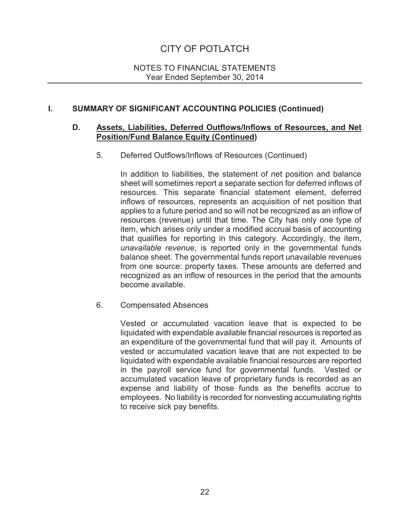## NOTES TO FINANCIAL STATEMENTS Year Ended September 30, 2014

## **I. SUMMARY OF SIGNIFICANT ACCOUNTING POLICIES (Continued)**

## **D. Assets, Liabilities, Deferred Outflows/Inflows of Resources, and Net Position/Fund Balance Equity (Continued)**

5. Deferred Outflows/Inflows of Resources (Continued)

In addition to liabilities, the statement of net position and balance sheet will sometimes report a separate section for deferred inflows of resources. This separate financial statement element, deferred inflows of resources, represents an acquisition of net position that applies to a future period and so will not be recognized as an inflow of resources (revenue) until that time. The City has only one type of item, which arises only under a modified accrual basis of accounting that qualifies for reporting in this category. Accordingly, the item, *unavailable revenue*, is reported only in the governmental funds balance sheet. The governmental funds report unavailable revenues from one source: property taxes. These amounts are deferred and recognized as an inflow of resources in the period that the amounts become available.

6. Compensated Absences

Vested or accumulated vacation leave that is expected to be liquidated with expendable available financial resources is reported as an expenditure of the governmental fund that will pay it. Amounts of vested or accumulated vacation leave that are not expected to be liquidated with expendable available financial resources are reported in the payroll service fund for governmental funds. Vested or accumulated vacation leave of proprietary funds is recorded as an expense and liability of those funds as the benefits accrue to employees. No liability is recorded for nonvesting accumulating rights to receive sick pay benefits.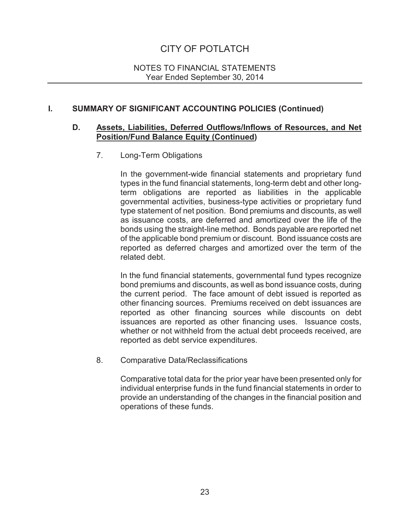## NOTES TO FINANCIAL STATEMENTS Year Ended September 30, 2014

## **I. SUMMARY OF SIGNIFICANT ACCOUNTING POLICIES (Continued)**

## **D. Assets, Liabilities, Deferred Outflows/Inflows of Resources, and Net Position/Fund Balance Equity (Continued)**

7. Long-Term Obligations

In the government-wide financial statements and proprietary fund types in the fund financial statements, long-term debt and other longterm obligations are reported as liabilities in the applicable governmental activities, business-type activities or proprietary fund type statement of net position. Bond premiums and discounts, as well as issuance costs, are deferred and amortized over the life of the bonds using the straight-line method. Bonds payable are reported net of the applicable bond premium or discount. Bond issuance costs are reported as deferred charges and amortized over the term of the related debt.

In the fund financial statements, governmental fund types recognize bond premiums and discounts, as well as bond issuance costs, during the current period. The face amount of debt issued is reported as other financing sources. Premiums received on debt issuances are reported as other financing sources while discounts on debt issuances are reported as other financing uses. Issuance costs, whether or not withheld from the actual debt proceeds received, are reported as debt service expenditures.

8. Comparative Data/Reclassifications

Comparative total data for the prior year have been presented only for individual enterprise funds in the fund financial statements in order to provide an understanding of the changes in the financial position and operations of these funds.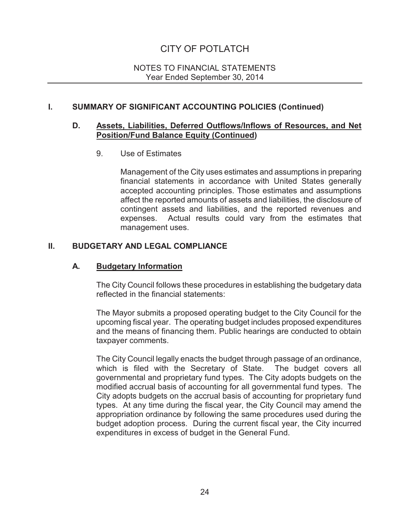## NOTES TO FINANCIAL STATEMENTS Year Ended September 30, 2014

## **I. SUMMARY OF SIGNIFICANT ACCOUNTING POLICIES (Continued)**

## **D. Assets, Liabilities, Deferred Outflows/Inflows of Resources, and Net Position/Fund Balance Equity (Continued)**

9. Use of Estimates

Management of the City uses estimates and assumptions in preparing financial statements in accordance with United States generally accepted accounting principles. Those estimates and assumptions affect the reported amounts of assets and liabilities, the disclosure of contingent assets and liabilities, and the reported revenues and expenses. Actual results could vary from the estimates that management uses.

## **II. BUDGETARY AND LEGAL COMPLIANCE**

#### **A. Budgetary Information**

The City Council follows these procedures in establishing the budgetary data reflected in the financial statements:

The Mayor submits a proposed operating budget to the City Council for the upcoming fiscal year. The operating budget includes proposed expenditures and the means of financing them. Public hearings are conducted to obtain taxpayer comments.

The City Council legally enacts the budget through passage of an ordinance, which is filed with the Secretary of State. The budget covers all governmental and proprietary fund types. The City adopts budgets on the modified accrual basis of accounting for all governmental fund types. The City adopts budgets on the accrual basis of accounting for proprietary fund types. At any time during the fiscal year, the City Council may amend the appropriation ordinance by following the same procedures used during the budget adoption process. During the current fiscal year, the City incurred expenditures in excess of budget in the General Fund.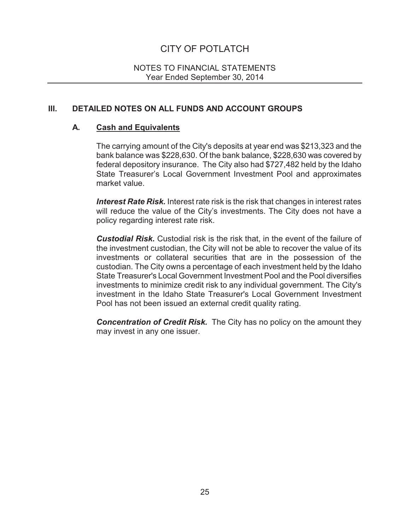## NOTES TO FINANCIAL STATEMENTS Year Ended September 30, 2014

## **III. DETAILED NOTES ON ALL FUNDS AND ACCOUNT GROUPS**

#### **A. Cash and Equivalents**

The carrying amount of the City's deposits at year end was \$213,323 and the bank balance was \$228,630. Of the bank balance, \$228,630 was covered by federal depository insurance. The City also had \$727,482 held by the Idaho State Treasurer's Local Government Investment Pool and approximates market value.

*Interest Rate Risk.* Interest rate risk is the risk that changes in interest rates will reduce the value of the City's investments. The City does not have a policy regarding interest rate risk.

*Custodial Risk.* Custodial risk is the risk that, in the event of the failure of the investment custodian, the City will not be able to recover the value of its investments or collateral securities that are in the possession of the custodian. The City owns a percentage of each investment held by the Idaho State Treasurer's Local Government Investment Pool and the Pool diversifies investments to minimize credit risk to any individual government. The City's investment in the Idaho State Treasurer's Local Government Investment Pool has not been issued an external credit quality rating.

*Concentration of Credit Risk.* The City has no policy on the amount they may invest in any one issuer.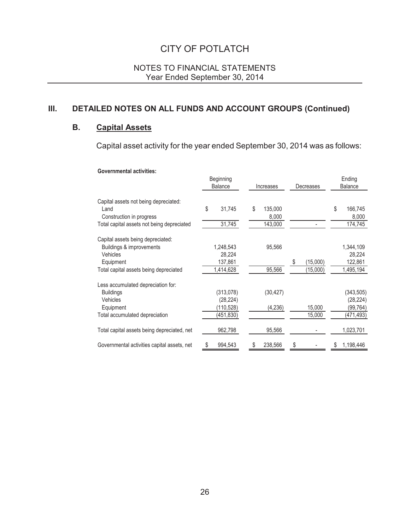## NOTES TO FINANCIAL STATEMENTS Year Ended September 30, 2014

## **III. DETAILED NOTES ON ALL FUNDS AND ACCOUNT GROUPS (Continued)**

## **B. Capital Assets**

Capital asset activity for the year ended September 30, 2014 was as follows:

#### **Governmental activities:**

|                                             | Beginning<br><b>Balance</b> |           | Increases |                  | Decreases |          | Ending<br><b>Balance</b> |                  |
|---------------------------------------------|-----------------------------|-----------|-----------|------------------|-----------|----------|--------------------------|------------------|
| Capital assets not being depreciated:       | \$                          |           | \$        |                  |           |          | \$                       |                  |
| Land<br>Construction in progress            |                             | 31,745    |           | 135,000<br>8,000 |           |          |                          | 166,745<br>8,000 |
| Total capital assets not being depreciated  |                             | 31,745    |           | 143,000          |           |          |                          | 174,745          |
| Capital assets being depreciated:           |                             |           |           |                  |           |          |                          |                  |
| Buildings & improvements                    |                             | 1,248,543 |           | 95,566           |           |          |                          | 1,344,109        |
| <b>Vehicles</b>                             |                             | 28,224    |           |                  |           |          |                          | 28,224           |
| Equipment                                   |                             | 137,861   |           |                  | \$        | (15,000) |                          | 122,861          |
| Total capital assets being depreciated      |                             | 1,414,628 |           | 95,566           |           | (15,000) |                          | 1,495,194        |
| Less accumulated depreciation for:          |                             |           |           |                  |           |          |                          |                  |
| <b>Buildings</b>                            |                             | (313,078) |           | (30, 427)        |           |          |                          | (343,505)        |
| Vehicles                                    |                             | (28, 224) |           |                  |           |          |                          | (28, 224)        |
| Equipment                                   |                             | (110,528) |           | (4,236)          |           | 15,000   |                          | (99,764)         |
| Total accumulated depreciation              |                             | (451,830) |           |                  |           | 15,000   |                          | (471,493)        |
| Total capital assets being depreciated, net |                             | 962,798   |           | 95,566           |           |          |                          | 1,023,701        |
| Governmental activities capital assets, net | \$                          | 994,543   |           | 238,566          | \$        |          |                          | 1,198,446        |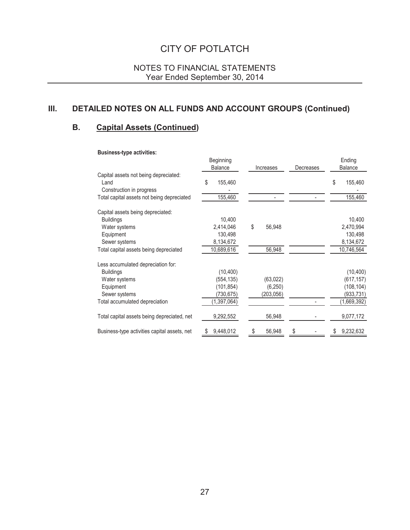## NOTES TO FINANCIAL STATEMENTS Year Ended September 30, 2014

## **III. DETAILED NOTES ON ALL FUNDS AND ACCOUNT GROUPS (Continued)**

## **B. Capital Assets (Continued)**

## **Business-type activities:**

|                                              | Beginning<br><b>Balance</b> | Increases    | Decreases | Ending<br><b>Balance</b> |
|----------------------------------------------|-----------------------------|--------------|-----------|--------------------------|
| Capital assets not being depreciated:        |                             |              |           |                          |
| Land                                         | \$<br>155,460               |              |           | \$<br>155,460            |
| Construction in progress                     |                             |              |           |                          |
| Total capital assets not being depreciated   | 155,460                     |              |           | 155,460                  |
| Capital assets being depreciated:            |                             |              |           |                          |
| <b>Buildings</b>                             | 10,400                      |              |           | 10,400                   |
| Water systems                                | 2,414,046                   | \$<br>56,948 |           | 2,470,994                |
| Equipment                                    | 130,498                     |              |           | 130,498                  |
| Sewer systems                                | 8,134,672                   |              |           | 8,134,672                |
| Total capital assets being depreciated       | 10,689,616                  | 56,948       |           | 10,746,564               |
| Less accumulated depreciation for:           |                             |              |           |                          |
| <b>Buildings</b>                             | (10, 400)                   |              |           | (10, 400)                |
| Water systems                                | (554,135)                   | (63,022)     |           | (617, 157)               |
| Equipment                                    | (101, 854)                  | (6, 250)     |           | (108, 104)               |
| Sewer systems                                | (730,675)                   | (203,056)    |           | (933, 731)               |
| Total accumulated depreciation               | (1,397,064)                 |              |           | (1,669,392)              |
| Total capital assets being depreciated, net  | 9,292,552                   | 56,948       |           | 9,077,172                |
| Business-type activities capital assets, net | 9,448,012                   | 56,948       | \$        | 9,232,632                |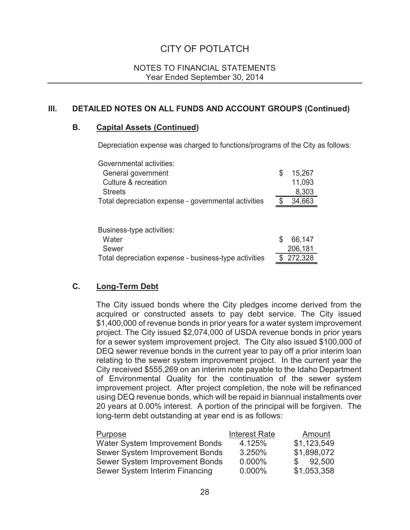## NOTES TO FINANCIAL STATEMENTS Year Ended September 30, 2014

## **III. DETAILED NOTES ON ALL FUNDS AND ACCOUNT GROUPS (Continued)**

#### **B. Capital Assets (Continued)**

Depreciation expense was charged to functions/programs of the City as follows:

| Governmental activities:                              |    |         |
|-------------------------------------------------------|----|---------|
| General government                                    | \$ | 15,267  |
| Culture & recreation                                  |    | 11,093  |
| <b>Streets</b>                                        |    | 8,303   |
| Total depreciation expense - governmental activities  |    | 34,663  |
| Business-type activities:                             |    |         |
| Water                                                 | S  | 66,147  |
| Sewer                                                 |    | 206,181 |
| Total depreciation expense - business-type activities |    | 272,328 |

## **C. Long-Term Debt**

The City issued bonds where the City pledges income derived from the acquired or constructed assets to pay debt service. The City issued \$1,400,000 of revenue bonds in prior years for a water system improvement project. The City issued \$2,074,000 of USDA revenue bonds in prior years for a sewer system improvement project. The City also issued \$100,000 of DEQ sewer revenue bonds in the current year to pay off a prior interim loan relating to the sewer system improvement project. In the current year the City received \$555,269 on an interim note payable to the Idaho Department of Environmental Quality for the continuation of the sewer system improvement project. After project completion, the note will be refinanced using DEQ revenue bonds, which will be repaid in biannual installments over 20 years at 0.00% interest. A portion of the principal will be forgiven. The long-term debt outstanding at year end is as follows:

| Purpose                        | <b>Interest Rate</b> | Amount        |
|--------------------------------|----------------------|---------------|
| Water System Improvement Bonds | 4.125%               | \$1,123,549   |
| Sewer System Improvement Bonds | 3.250%               | \$1,898,072   |
| Sewer System Improvement Bonds | 0.000%               | 92.500<br>SS. |
| Sewer System Interim Financing | $0.000\%$            | \$1,053,358   |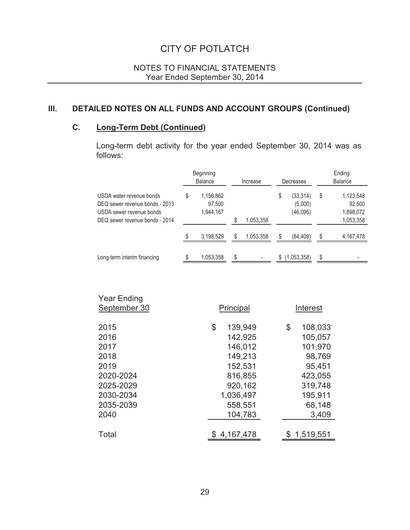## NOTES TO FINANCIAL STATEMENTS Year Ended September 30, 2014

## **III. DETAILED NOTES ON ALL FUNDS AND ACCOUNT GROUPS (Continued)**

## **C. Long-Term Debt (Continued)**

Long-term debt activity for the year ended September 30, 2014 was as follows:

|                                                                                                                          | Beginning<br><b>Balance</b> |                                  | Increase        |    | Decreases                        | Ending<br><b>Balance</b> |                                               |
|--------------------------------------------------------------------------------------------------------------------------|-----------------------------|----------------------------------|-----------------|----|----------------------------------|--------------------------|-----------------------------------------------|
| USDA water revenue bonds<br>DEQ sewer revenue bonds - 2013<br>USDA sewer revenue bonds<br>DEQ sewer revenue bonds - 2014 | \$                          | 1,156,862<br>97.500<br>1,944,167 | \$<br>1,053,358 | \$ | (33, 314)<br>(5,000)<br>(46,095) | \$                       | 1,123,548<br>92,500<br>1,898,072<br>1,053,358 |
|                                                                                                                          |                             | 3,198,529                        | \$<br>1,053,358 | S  | (84, 409)                        | S                        | 4, 167, 478                                   |
| Long-term interim financing                                                                                              |                             | 1,053,358                        | \$              | S  | (1,053,358)                      | \$                       |                                               |

| <b>Year Ending</b><br>September 30 | Principal     | Interest      |  |
|------------------------------------|---------------|---------------|--|
| 2015                               | \$<br>139,949 | \$<br>108,033 |  |
| 2016                               | 142,925       | 105,057       |  |
| 2017                               | 146,012       | 101,970       |  |
| 2018                               | 149,213       | 98,769        |  |
| 2019                               | 152,531       | 95,451        |  |
| 2020-2024                          | 816,855       | 423,055       |  |
| 2025-2029                          | 920,162       | 319,748       |  |
| 2030-2034                          | 1,036,497     | 195,911       |  |
| 2035-2039                          | 558,551       | 68,148        |  |
| 2040                               | 104,783       | 3,409         |  |
|                                    |               |               |  |
| Total                              | 4, 167, 478   | 1,519,551     |  |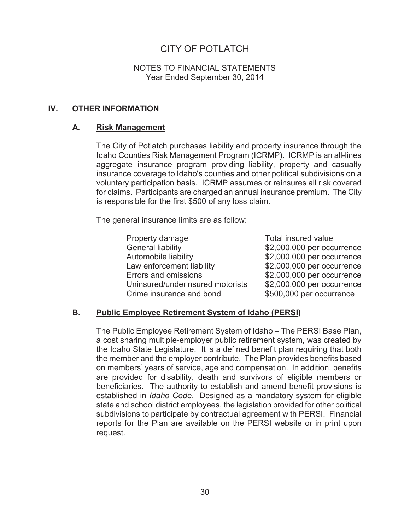## NOTES TO FINANCIAL STATEMENTS Year Ended September 30, 2014

## **IV. OTHER INFORMATION**

#### **A. Risk Management**

The City of Potlatch purchases liability and property insurance through the Idaho Counties Risk Management Program (ICRMP). ICRMP is an all-lines aggregate insurance program providing liability, property and casualty insurance coverage to Idaho's counties and other political subdivisions on a voluntary participation basis. ICRMP assumes or reinsures all risk covered for claims. Participants are charged an annual insurance premium. The City is responsible for the first \$500 of any loss claim.

The general insurance limits are as follow:

| Property damage                  |  |
|----------------------------------|--|
| General liability                |  |
| Automobile liability             |  |
| Law enforcement liability        |  |
| Errors and omissions             |  |
| Uninsured/underinsured motorists |  |
| Crime insurance and bond         |  |

Total insured value \$2,000,000 per occurrence \$2,000,000 per occurrence  $$2,000,000$  per occurrence  $$2,000,000$  per occurrence \$2,000,000 per occurrence \$500,000 per occurrence

#### **B. Public Employee Retirement System of Idaho (PERSI)**

The Public Employee Retirement System of Idaho – The PERSI Base Plan, a cost sharing multiple-employer public retirement system, was created by the Idaho State Legislature. It is a defined benefit plan requiring that both the member and the employer contribute. The Plan provides benefits based on members' years of service, age and compensation. In addition, benefits are provided for disability, death and survivors of eligible members or beneficiaries. The authority to establish and amend benefit provisions is established in *Idaho Code*. Designed as a mandatory system for eligible state and school district employees, the legislation provided for other political subdivisions to participate by contractual agreement with PERSI. Financial reports for the Plan are available on the PERSI website or in print upon request.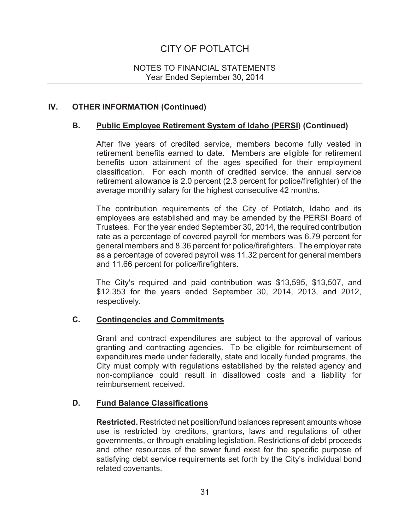## NOTES TO FINANCIAL STATEMENTS Year Ended September 30, 2014

## **IV. OTHER INFORMATION (Continued)**

## **B. Public Employee Retirement System of Idaho (PERSI) (Continued)**

After five years of credited service, members become fully vested in retirement benefits earned to date. Members are eligible for retirement benefits upon attainment of the ages specified for their employment classification. For each month of credited service, the annual service retirement allowance is 2.0 percent (2.3 percent for police/firefighter) of the average monthly salary for the highest consecutive 42 months.

The contribution requirements of the City of Potlatch, Idaho and its employees are established and may be amended by the PERSI Board of Trustees. For the year ended September 30, 2014, the required contribution rate as a percentage of covered payroll for members was 6.79 percent for general members and 8.36 percent for police/firefighters. The employer rate as a percentage of covered payroll was 11.32 percent for general members and 11.66 percent for police/firefighters.

The City's required and paid contribution was \$13,595, \$13,507, and \$12,353 for the years ended September 30, 2014, 2013, and 2012, respectively.

## **C. Contingencies and Commitments**

Grant and contract expenditures are subject to the approval of various granting and contracting agencies. To be eligible for reimbursement of expenditures made under federally, state and locally funded programs, the City must comply with regulations established by the related agency and non-compliance could result in disallowed costs and a liability for reimbursement received.

#### **D. Fund Balance Classifications**

**Restricted.** Restricted net position/fund balances represent amounts whose use is restricted by creditors, grantors, laws and regulations of other governments, or through enabling legislation. Restrictions of debt proceeds and other resources of the sewer fund exist for the specific purpose of satisfying debt service requirements set forth by the City's individual bond related covenants.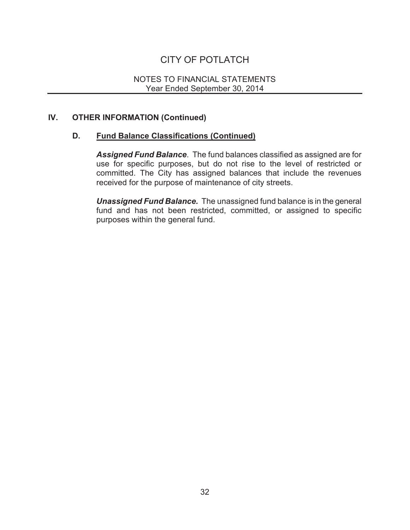## NOTES TO FINANCIAL STATEMENTS Year Ended September 30, 2014

## **IV. OTHER INFORMATION (Continued)**

#### **D. Fund Balance Classifications (Continued)**

*Assigned Fund Balance*. The fund balances classified as assigned are for use for specific purposes, but do not rise to the level of restricted or committed. The City has assigned balances that include the revenues received for the purpose of maintenance of city streets.

*Unassigned Fund Balance.* The unassigned fund balance is in the general fund and has not been restricted, committed, or assigned to specific purposes within the general fund.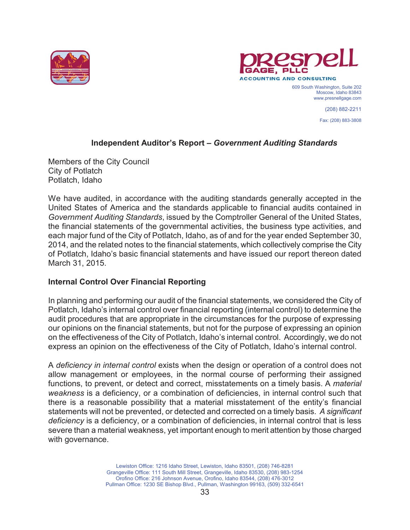



609 South Washington, Suite 202 Moscow, Idaho 83843 www.presnellgage.com

(208) 882-2211

Fax: (208) 883-3808

## **Independent Auditor's Report –** *Government Auditing Standards*

Members of the City Council City of Potlatch Potlatch, Idaho

We have audited, in accordance with the auditing standards generally accepted in the United States of America and the standards applicable to financial audits contained in *Government Auditing Standards*, issued by the Comptroller General of the United States, the financial statements of the governmental activities, the business type activities, and each major fund of the City of Potlatch, Idaho, as of and for the year ended September 30, 2014, and the related notes to the financial statements, which collectively comprise the City of Potlatch, Idaho's basic financial statements and have issued our report thereon dated March 31, 2015.

## **Internal Control Over Financial Reporting**

In planning and performing our audit of the financial statements, we considered the City of Potlatch, Idaho's internal control over financial reporting (internal control) to determine the audit procedures that are appropriate in the circumstances for the purpose of expressing our opinions on the financial statements, but not for the purpose of expressing an opinion on the effectiveness of the City of Potlatch, Idaho's internal control. Accordingly, we do not express an opinion on the effectiveness of the City of Potlatch, Idaho's internal control.

A *deficiency in internal control* exists when the design or operation of a control does not allow management or employees, in the normal course of performing their assigned functions, to prevent, or detect and correct, misstatements on a timely basis. A *material weakness* is a deficiency, or a combination of deficiencies, in internal control such that there is a reasonable possibility that a material misstatement of the entity's financial statements will not be prevented, or detected and corrected on a timely basis. *A significant deficiency* is a deficiency, or a combination of deficiencies, in internal control that is less severe than a material weakness, yet important enough to merit attention by those charged with governance.

> Lewiston Office: 1216 Idaho Street, Lewiston, Idaho 83501, (208) 746-8281 Grangeville Office: 111 South Mill Street, Grangeville, Idaho 83530, (208) 983-1254 Orofino Office: 216 Johnson Avenue, Orofino, Idaho 83544, (208) 476-3012 Pullman Office: 1230 SE Bishop Blvd., Pullman, Washington 99163, (509) 332-6541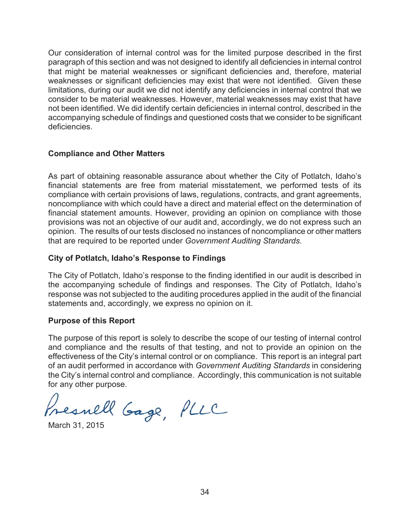Our consideration of internal control was for the limited purpose described in the first paragraph of this section and was not designed to identify all deficiencies in internal control that might be material weaknesses or significant deficiencies and, therefore, material weaknesses or significant deficiencies may exist that were not identified. Given these limitations, during our audit we did not identify any deficiencies in internal control that we consider to be material weaknesses. However, material weaknesses may exist that have not been identified. We did identify certain deficiencies in internal control, described in the accompanying schedule of findings and questioned costs that we consider to be significant deficiencies.

## **Compliance and Other Matters**

As part of obtaining reasonable assurance about whether the City of Potlatch, Idaho's financial statements are free from material misstatement, we performed tests of its compliance with certain provisions of laws, regulations, contracts, and grant agreements, noncompliance with which could have a direct and material effect on the determination of financial statement amounts. However, providing an opinion on compliance with those provisions was not an objective of our audit and, accordingly, we do not express such an opinion. The results of our tests disclosed no instances of noncompliance or other matters that are required to be reported under *Government Auditing Standards*.

## **City of Potlatch, Idaho's Response to Findings**

The City of Potlatch, Idaho's response to the finding identified in our audit is described in the accompanying schedule of findings and responses. The City of Potlatch, Idaho's response was not subjected to the auditing procedures applied in the audit of the financial statements and, accordingly, we express no opinion on it.

## **Purpose of this Report**

The purpose of this report is solely to describe the scope of our testing of internal control and compliance and the results of that testing, and not to provide an opinion on the effectiveness of the City's internal control or on compliance. This report is an integral part of an audit performed in accordance with *Government Auditing Standards* in considering the City's internal control and compliance. Accordingly, this communication is not suitable for any other purpose.

nesnell Gage, PLLC

March 31, 2015